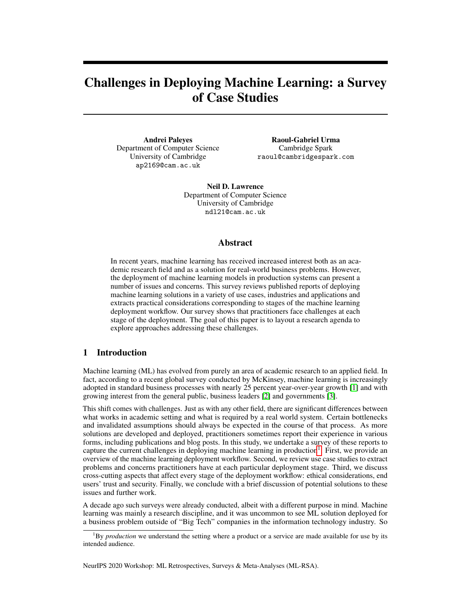# Challenges in Deploying Machine Learning: a Survey of Case Studies

Andrei Paleyes Department of Computer Science University of Cambridge ap2169@cam.ac.uk

Raoul-Gabriel Urma Cambridge Spark raoul@cambridgespark.com

Neil D. Lawrence Department of Computer Science University of Cambridge ndl21@cam.ac.uk

### Abstract

In recent years, machine learning has received increased interest both as an academic research field and as a solution for real-world business problems. However, the deployment of machine learning models in production systems can present a number of issues and concerns. This survey reviews published reports of deploying machine learning solutions in a variety of use cases, industries and applications and extracts practical considerations corresponding to stages of the machine learning deployment workflow. Our survey shows that practitioners face challenges at each stage of the deployment. The goal of this paper is to layout a research agenda to explore approaches addressing these challenges.

# 1 Introduction

Machine learning (ML) has evolved from purely an area of academic research to an applied field. In fact, according to a recent global survey conducted by McKinsey, machine learning is increasingly adopted in standard business processes with nearly 25 percent year-over-year growth [\[1\]](#page-15-0) and with growing interest from the general public, business leaders [\[2\]](#page-15-1) and governments [\[3\]](#page-15-2).

This shift comes with challenges. Just as with any other field, there are significant differences between what works in academic setting and what is required by a real world system. Certain bottlenecks and invalidated assumptions should always be expected in the course of that process. As more solutions are developed and deployed, practitioners sometimes report their experience in various forms, including publications and blog posts. In this study, we undertake a survey of these reports to capture the current challenges in deploying machine learning in production<sup>[1](#page-0-0)</sup>. First, we provide an overview of the machine learning deployment workflow. Second, we review use case studies to extract problems and concerns practitioners have at each particular deployment stage. Third, we discuss cross-cutting aspects that affect every stage of the deployment workflow: ethical considerations, end users' trust and security. Finally, we conclude with a brief discussion of potential solutions to these issues and further work.

A decade ago such surveys were already conducted, albeit with a different purpose in mind. Machine learning was mainly a research discipline, and it was uncommon to see ML solution deployed for a business problem outside of "Big Tech" companies in the information technology industry. So

NeurIPS 2020 Workshop: ML Retrospectives, Surveys & Meta-Analyses (ML-RSA).

<span id="page-0-0"></span><sup>&</sup>lt;sup>1</sup>By *production* we understand the setting where a product or a service are made available for use by its intended audience.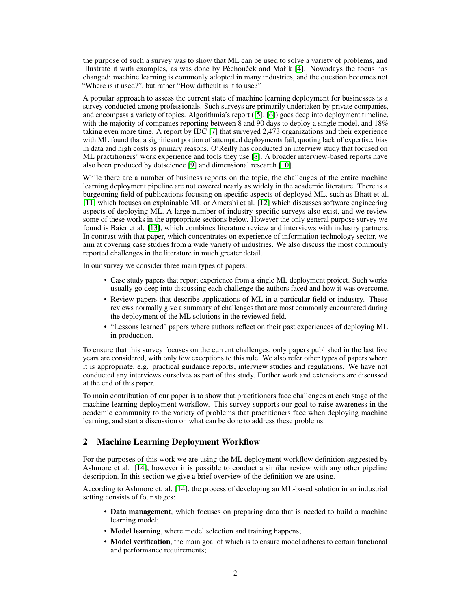the purpose of such a survey was to show that ML can be used to solve a variety of problems, and illustrate it with examples, as was done by Pěchouček and Mařík [\[4\]](#page-15-3). Nowadays the focus has changed: machine learning is commonly adopted in many industries, and the question becomes not "Where is it used?", but rather "How difficult is it to use?"

A popular approach to assess the current state of machine learning deployment for businesses is a survey conducted among professionals. Such surveys are primarily undertaken by private companies, and encompass a variety of topics. Algorithmia's report ([\[5\]](#page-15-4), [\[6\]](#page-15-5)) goes deep into deployment timeline, with the majority of companies reporting between 8 and 90 days to deploy a single model, and 18% taking even more time. A report by IDC [\[7\]](#page-15-6) that surveyed 2,473 organizations and their experience with ML found that a significant portion of attempted deployments fail, quoting lack of expertise, bias in data and high costs as primary reasons. O'Reilly has conducted an interview study that focused on ML practitioners' work experience and tools they use [\[8\]](#page-15-7). A broader interview-based reports have also been produced by dotscience [\[9\]](#page-15-8) and dimensional research [\[10\]](#page-15-9).

While there are a number of business reports on the topic, the challenges of the entire machine learning deployment pipeline are not covered nearly as widely in the academic literature. There is a burgeoning field of publications focusing on specific aspects of deployed ML, such as Bhatt et al. [\[11\]](#page-15-10) which focuses on explainable ML or Amershi et al. [\[12\]](#page-15-11) which discusses software engineering aspects of deploying ML. A large number of industry-specific surveys also exist, and we review some of these works in the appropriate sections below. However the only general purpose survey we found is Baier et al. [\[13\]](#page-15-12), which combines literature review and interviews with industry partners. In contrast with that paper, which concentrates on experience of information technology sector, we aim at covering case studies from a wide variety of industries. We also discuss the most commonly reported challenges in the literature in much greater detail.

In our survey we consider three main types of papers:

- Case study papers that report experience from a single ML deployment project. Such works usually go deep into discussing each challenge the authors faced and how it was overcome.
- Review papers that describe applications of ML in a particular field or industry. These reviews normally give a summary of challenges that are most commonly encountered during the deployment of the ML solutions in the reviewed field.
- "Lessons learned" papers where authors reflect on their past experiences of deploying ML in production.

To ensure that this survey focuses on the current challenges, only papers published in the last five years are considered, with only few exceptions to this rule. We also refer other types of papers where it is appropriate, e.g. practical guidance reports, interview studies and regulations. We have not conducted any interviews ourselves as part of this study. Further work and extensions are discussed at the end of this paper.

To main contribution of our paper is to show that practitioners face challenges at each stage of the machine learning deployment workflow. This survey supports our goal to raise awareness in the academic community to the variety of problems that practitioners face when deploying machine learning, and start a discussion on what can be done to address these problems.

# 2 Machine Learning Deployment Workflow

For the purposes of this work we are using the ML deployment workflow definition suggested by Ashmore et al. [\[14\]](#page-15-13), however it is possible to conduct a similar review with any other pipeline description. In this section we give a brief overview of the definition we are using.

According to Ashmore et. al. [\[14\]](#page-15-13), the process of developing an ML-based solution in an industrial setting consists of four stages:

- Data management, which focuses on preparing data that is needed to build a machine learning model;
- Model learning, where model selection and training happens;
- Model verification, the main goal of which is to ensure model adheres to certain functional and performance requirements;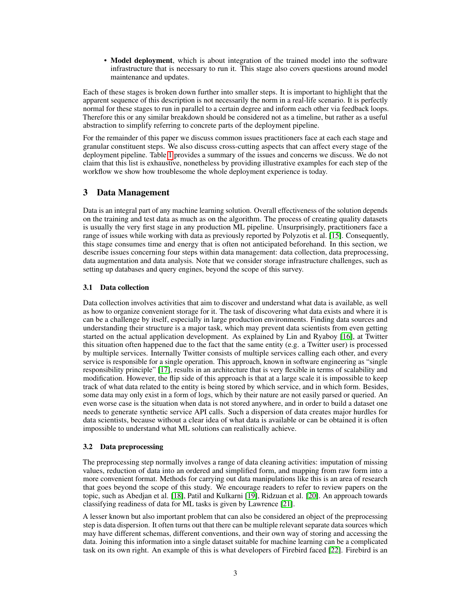• Model deployment, which is about integration of the trained model into the software infrastructure that is necessary to run it. This stage also covers questions around model maintenance and updates.

Each of these stages is broken down further into smaller steps. It is important to highlight that the apparent sequence of this description is not necessarily the norm in a real-life scenario. It is perfectly normal for these stages to run in parallel to a certain degree and inform each other via feedback loops. Therefore this or any similar breakdown should be considered not as a timeline, but rather as a useful abstraction to simplify referring to concrete parts of the deployment pipeline.

For the remainder of this paper we discuss common issues practitioners face at each each stage and granular constituent steps. We also discuss cross-cutting aspects that can affect every stage of the deployment pipeline. Table [1](#page-3-0) provides a summary of the issues and concerns we discuss. We do not claim that this list is exhaustive, nonetheless by providing illustrative examples for each step of the workflow we show how troublesome the whole deployment experience is today.

# <span id="page-2-0"></span>3 Data Management

Data is an integral part of any machine learning solution. Overall effectiveness of the solution depends on the training and test data as much as on the algorithm. The process of creating quality datasets is usually the very first stage in any production ML pipeline. Unsurprisingly, practitioners face a range of issues while working with data as previously reported by Polyzotis et al. [\[15\]](#page-15-14). Consequently, this stage consumes time and energy that is often not anticipated beforehand. In this section, we describe issues concerning four steps within data management: data collection, data preprocessing, data augmentation and data analysis. Note that we consider storage infrastructure challenges, such as setting up databases and query engines, beyond the scope of this survey.

### 3.1 Data collection

Data collection involves activities that aim to discover and understand what data is available, as well as how to organize convenient storage for it. The task of discovering what data exists and where it is can be a challenge by itself, especially in large production environments. Finding data sources and understanding their structure is a major task, which may prevent data scientists from even getting started on the actual application development. As explained by Lin and Ryaboy [\[16\]](#page-16-0), at Twitter this situation often happened due to the fact that the same entity (e.g. a Twitter user) is processed by multiple services. Internally Twitter consists of multiple services calling each other, and every service is responsible for a single operation. This approach, known in software engineering as "single responsibility principle" [\[17\]](#page-16-1), results in an architecture that is very flexible in terms of scalability and modification. However, the flip side of this approach is that at a large scale it is impossible to keep track of what data related to the entity is being stored by which service, and in which form. Besides, some data may only exist in a form of logs, which by their nature are not easily parsed or queried. An even worse case is the situation when data is not stored anywhere, and in order to build a dataset one needs to generate synthetic service API calls. Such a dispersion of data creates major hurdles for data scientists, because without a clear idea of what data is available or can be obtained it is often impossible to understand what ML solutions can realistically achieve.

### 3.2 Data preprocessing

The preprocessing step normally involves a range of data cleaning activities: imputation of missing values, reduction of data into an ordered and simplified form, and mapping from raw form into a more convenient format. Methods for carrying out data manipulations like this is an area of research that goes beyond the scope of this study. We encourage readers to refer to review papers on the topic, such as Abedjan et al. [\[18\]](#page-16-2), Patil and Kulkarni [\[19\]](#page-16-3), Ridzuan et al. [\[20\]](#page-16-4). An approach towards classifying readiness of data for ML tasks is given by Lawrence [\[21\]](#page-16-5).

A lesser known but also important problem that can also be considered an object of the preprocessing step is data dispersion. It often turns out that there can be multiple relevant separate data sources which may have different schemas, different conventions, and their own way of storing and accessing the data. Joining this information into a single dataset suitable for machine learning can be a complicated task on its own right. An example of this is what developers of Firebird faced [\[22\]](#page-16-6). Firebird is an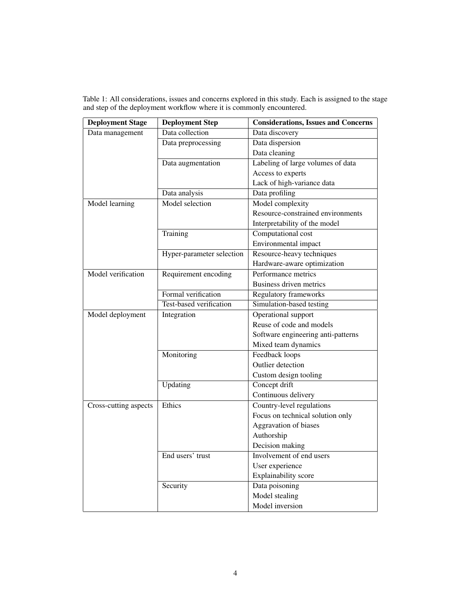| <b>Deployment Stage</b> | <b>Deployment Step</b>    | <b>Considerations, Issues and Concerns</b> |
|-------------------------|---------------------------|--------------------------------------------|
| Data management         | Data collection           | Data discovery                             |
|                         | Data preprocessing        | Data dispersion                            |
|                         |                           | Data cleaning                              |
|                         | Data augmentation         | Labeling of large volumes of data          |
|                         |                           | Access to experts                          |
|                         |                           | Lack of high-variance data                 |
|                         | Data analysis             | Data profiling                             |
| Model learning          | Model selection           | Model complexity                           |
|                         |                           | Resource-constrained environments          |
|                         |                           | Interpretability of the model              |
|                         | Training                  | Computational cost                         |
|                         |                           | Environmental impact                       |
|                         | Hyper-parameter selection | Resource-heavy techniques                  |
|                         |                           | Hardware-aware optimization                |
| Model verification      | Requirement encoding      | Performance metrics                        |
|                         |                           | Business driven metrics                    |
|                         | Formal verification       | Regulatory frameworks                      |
|                         | Test-based verification   | Simulation-based testing                   |
| Model deployment        | Integration               | Operational support                        |
|                         |                           | Reuse of code and models                   |
|                         |                           | Software engineering anti-patterns         |
|                         |                           | Mixed team dynamics                        |
|                         | Monitoring                | Feedback loops                             |
|                         |                           | Outlier detection                          |
|                         |                           | Custom design tooling                      |
|                         | Updating                  | Concept drift                              |
|                         |                           | Continuous delivery                        |
| Cross-cutting aspects   | Ethics                    | Country-level regulations                  |
|                         |                           | Focus on technical solution only           |
|                         |                           | Aggravation of biases                      |
|                         |                           | Authorship                                 |
|                         |                           | Decision making                            |
|                         | End users' trust          | Involvement of end users                   |
|                         |                           | User experience                            |
|                         |                           | Explainability score                       |
|                         | Security                  | Data poisoning                             |
|                         |                           | Model stealing                             |
|                         |                           | Model inversion                            |

<span id="page-3-0"></span>Table 1: All considerations, issues and concerns explored in this study. Each is assigned to the stage and step of the deployment workflow where it is commonly encountered.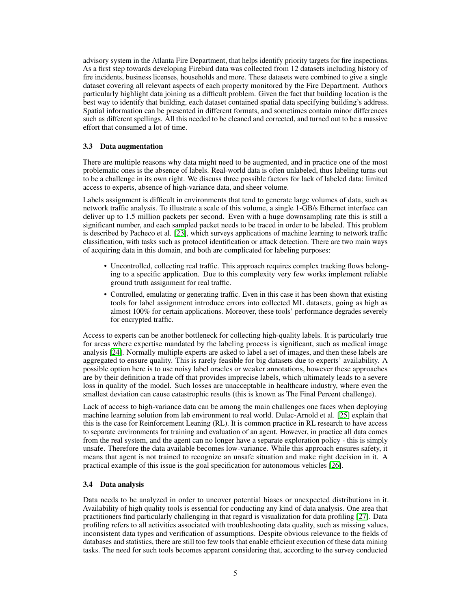advisory system in the Atlanta Fire Department, that helps identify priority targets for fire inspections. As a first step towards developing Firebird data was collected from 12 datasets including history of fire incidents, business licenses, households and more. These datasets were combined to give a single dataset covering all relevant aspects of each property monitored by the Fire Department. Authors particularly highlight data joining as a difficult problem. Given the fact that building location is the best way to identify that building, each dataset contained spatial data specifying building's address. Spatial information can be presented in different formats, and sometimes contain minor differences such as different spellings. All this needed to be cleaned and corrected, and turned out to be a massive effort that consumed a lot of time.

### <span id="page-4-0"></span>3.3 Data augmentation

There are multiple reasons why data might need to be augmented, and in practice one of the most problematic ones is the absence of labels. Real-world data is often unlabeled, thus labeling turns out to be a challenge in its own right. We discuss three possible factors for lack of labeled data: limited access to experts, absence of high-variance data, and sheer volume.

Labels assignment is difficult in environments that tend to generate large volumes of data, such as network traffic analysis. To illustrate a scale of this volume, a single 1-GB/s Ethernet interface can deliver up to 1.5 million packets per second. Even with a huge downsampling rate this is still a significant number, and each sampled packet needs to be traced in order to be labeled. This problem is described by Pacheco et al. [\[23\]](#page-16-7), which surveys applications of machine learning to network traffic classification, with tasks such as protocol identification or attack detection. There are two main ways of acquiring data in this domain, and both are complicated for labeling purposes:

- Uncontrolled, collecting real traffic. This approach requires complex tracking flows belonging to a specific application. Due to this complexity very few works implement reliable ground truth assignment for real traffic.
- Controlled, emulating or generating traffic. Even in this case it has been shown that existing tools for label assignment introduce errors into collected ML datasets, going as high as almost 100% for certain applications. Moreover, these tools' performance degrades severely for encrypted traffic.

Access to experts can be another bottleneck for collecting high-quality labels. It is particularly true for areas where expertise mandated by the labeling process is significant, such as medical image analysis [\[24\]](#page-16-8). Normally multiple experts are asked to label a set of images, and then these labels are aggregated to ensure quality. This is rarely feasible for big datasets due to experts' availability. A possible option here is to use noisy label oracles or weaker annotations, however these approaches are by their definition a trade off that provides imprecise labels, which ultimately leads to a severe loss in quality of the model. Such losses are unacceptable in healthcare industry, where even the smallest deviation can cause catastrophic results (this is known as The Final Percent challenge).

Lack of access to high-variance data can be among the main challenges one faces when deploying machine learning solution from lab environment to real world. Dulac-Arnold et al. [\[25\]](#page-16-9) explain that this is the case for Reinforcement Leaning (RL). It is common practice in RL research to have access to separate environments for training and evaluation of an agent. However, in practice all data comes from the real system, and the agent can no longer have a separate exploration policy - this is simply unsafe. Therefore the data available becomes low-variance. While this approach ensures safety, it means that agent is not trained to recognize an unsafe situation and make right decision in it. A practical example of this issue is the goal specification for autonomous vehicles [\[26\]](#page-16-10).

#### 3.4 Data analysis

Data needs to be analyzed in order to uncover potential biases or unexpected distributions in it. Availability of high quality tools is essential for conducting any kind of data analysis. One area that practitioners find particularly challenging in that regard is visualization for data profiling [\[27\]](#page-16-11). Data profiling refers to all activities associated with troubleshooting data quality, such as missing values, inconsistent data types and verification of assumptions. Despite obvious relevance to the fields of databases and statistics, there are still too few tools that enable efficient execution of these data mining tasks. The need for such tools becomes apparent considering that, according to the survey conducted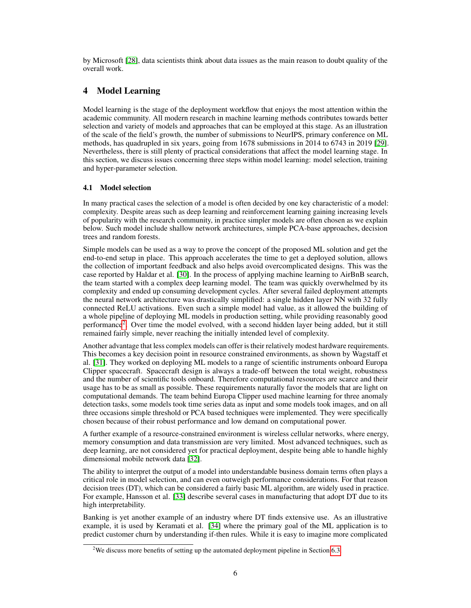by Microsoft [\[28\]](#page-16-12), data scientists think about data issues as the main reason to doubt quality of the overall work.

# 4 Model Learning

Model learning is the stage of the deployment workflow that enjoys the most attention within the academic community. All modern research in machine learning methods contributes towards better selection and variety of models and approaches that can be employed at this stage. As an illustration of the scale of the field's growth, the number of submissions to NeurIPS, primary conference on ML methods, has quadrupled in six years, going from 1678 submissions in 2014 to 6743 in 2019 [\[29\]](#page-16-13). Nevertheless, there is still plenty of practical considerations that affect the model learning stage. In this section, we discuss issues concerning three steps within model learning: model selection, training and hyper-parameter selection.

### 4.1 Model selection

In many practical cases the selection of a model is often decided by one key characteristic of a model: complexity. Despite areas such as deep learning and reinforcement learning gaining increasing levels of popularity with the research community, in practice simpler models are often chosen as we explain below. Such model include shallow network architectures, simple PCA-base approaches, decision trees and random forests.

Simple models can be used as a way to prove the concept of the proposed ML solution and get the end-to-end setup in place. This approach accelerates the time to get a deployed solution, allows the collection of important feedback and also helps avoid overcomplicated designs. This was the case reported by Haldar et al. [\[30\]](#page-16-14). In the process of applying machine learning to AirBnB search, the team started with a complex deep learning model. The team was quickly overwhelmed by its complexity and ended up consuming development cycles. After several failed deployment attempts the neural network architecture was drastically simplified: a single hidden layer NN with 32 fully connected ReLU activations. Even such a simple model had value, as it allowed the building of a whole pipeline of deploying ML models in production setting, while providing reasonably good performance<sup>[2](#page-5-0)</sup>. Over time the model evolved, with a second hidden layer being added, but it still remained fairly simple, never reaching the initially intended level of complexity.

Another advantage that less complex models can offer is their relatively modest hardware requirements. This becomes a key decision point in resource constrained environments, as shown by Wagstaff et al. [\[31\]](#page-16-15). They worked on deploying ML models to a range of scientific instruments onboard Europa Clipper spacecraft. Spacecraft design is always a trade-off between the total weight, robustness and the number of scientific tools onboard. Therefore computational resources are scarce and their usage has to be as small as possible. These requirements naturally favor the models that are light on computational demands. The team behind Europa Clipper used machine learning for three anomaly detection tasks, some models took time series data as input and some models took images, and on all three occasions simple threshold or PCA based techniques were implemented. They were specifically chosen because of their robust performance and low demand on computational power.

A further example of a resource-constrained environment is wireless cellular networks, where energy, memory consumption and data transmission are very limited. Most advanced techniques, such as deep learning, are not considered yet for practical deployment, despite being able to handle highly dimensional mobile network data [\[32\]](#page-16-16).

The ability to interpret the output of a model into understandable business domain terms often plays a critical role in model selection, and can even outweigh performance considerations. For that reason decision trees (DT), which can be considered a fairly basic ML algorithm, are widely used in practice. For example, Hansson et al. [\[33\]](#page-16-17) describe several cases in manufacturing that adopt DT due to its high interpretability.

Banking is yet another example of an industry where DT finds extensive use. As an illustrative example, it is used by Keramati et al. [\[34\]](#page-16-18) where the primary goal of the ML application is to predict customer churn by understanding if-then rules. While it is easy to imagine more complicated

<span id="page-5-0"></span><sup>&</sup>lt;sup>2</sup>We discuss more benefits of setting up the automated deployment pipeline in Section [6.3.](#page-9-0)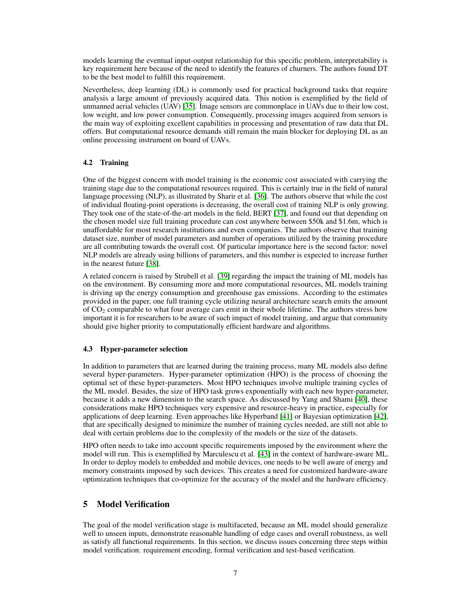models learning the eventual input-output relationship for this specific problem, interpretability is key requirement here because of the need to identify the features of churners. The authors found DT to be the best model to fulfill this requirement.

Nevertheless, deep learning (DL) is commonly used for practical background tasks that require analysis a large amount of previously acquired data. This notion is exemplified by the field of unmanned aerial vehicles (UAV) [\[35\]](#page-16-19). Image sensors are commonplace in UAVs due to their low cost, low weight, and low power consumption. Consequently, processing images acquired from sensors is the main way of exploiting excellent capabilities in processing and presentation of raw data that DL offers. But computational resource demands still remain the main blocker for deploying DL as an online processing instrument on board of UAVs.

### 4.2 Training

One of the biggest concern with model training is the economic cost associated with carrying the training stage due to the computational resources required. This is certainly true in the field of natural language processing (NLP), as illustrated by Sharir et al. [\[36\]](#page-17-0). The authors observe that while the cost of individual floating-point operations is decreasing, the overall cost of training NLP is only growing. They took one of the state-of-the-art models in the field, BERT [\[37\]](#page-17-1), and found out that depending on the chosen model size full training procedure can cost anywhere between \$50k and \$1.6m, which is unaffordable for most research institutions and even companies. The authors observe that training dataset size, number of model parameters and number of operations utilized by the training procedure are all contributing towards the overall cost. Of particular importance here is the second factor: novel NLP models are already using billions of parameters, and this number is expected to increase further in the nearest future [\[38\]](#page-17-2).

A related concern is raised by Strubell et al. [\[39\]](#page-17-3) regarding the impact the training of ML models has on the environment. By consuming more and more computational resources, ML models training is driving up the energy consumption and greenhouse gas emissions. According to the estimates provided in the paper, one full training cycle utilizing neural architecture search emits the amount of  $CO<sub>2</sub>$  comparable to what four average cars emit in their whole lifetime. The authors stress how important it is for researchers to be aware of such impact of model training, and argue that community should give higher priority to computationally efficient hardware and algorithms.

### 4.3 Hyper-parameter selection

In addition to parameters that are learned during the training process, many ML models also define several hyper-parameters. Hyper-parameter optimization (HPO) is the process of choosing the optimal set of these hyper-parameters. Most HPO techniques involve multiple training cycles of the ML model. Besides, the size of HPO task grows exponentially with each new hyper-parameter, because it adds a new dimension to the search space. As discussed by Yang and Shami [\[40\]](#page-17-4), these considerations make HPO techniques very expensive and resource-heavy in practice, especially for applications of deep learning. Even approaches like Hyperband [\[41\]](#page-17-5) or Bayesian optimization [\[42\]](#page-17-6), that are specifically designed to minimize the number of training cycles needed, are still not able to deal with certain problems due to the complexity of the models or the size of the datasets.

HPO often needs to take into account specific requirements imposed by the environment where the model will run. This is exemplified by Marculescu et al. [\[43\]](#page-17-7) in the context of hardware-aware ML. In order to deploy models to embedded and mobile devices, one needs to be well aware of energy and memory constraints imposed by such devices. This creates a need for customized hardware-aware optimization techniques that co-optimize for the accuracy of the model and the hardware efficiency.

# 5 Model Verification

The goal of the model verification stage is multifaceted, because an ML model should generalize well to unseen inputs, demonstrate reasonable handling of edge cases and overall robustness, as well as satisfy all functional requirements. In this section, we discuss issues concerning three steps within model verification: requirement encoding, formal verification and test-based verification.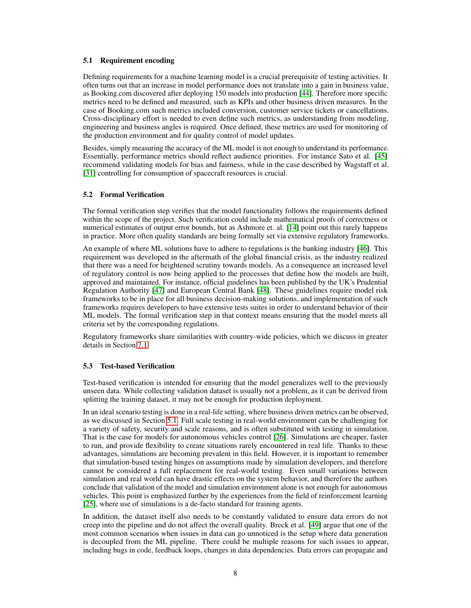### <span id="page-7-0"></span>5.1 Requirement encoding

Defining requirements for a machine learning model is a crucial prerequisite of testing activities. It often turns out that an increase in model performance does not translate into a gain in business value, as Booking.com discovered after deploying 150 models into production [\[44\]](#page-17-8). Therefore more specific metrics need to be defined and measured, such as KPIs and other business driven measures. In the case of Booking.com such metrics included conversion, customer service tickets or cancellations. Cross-disciplinary effort is needed to even define such metrics, as understanding from modeling, engineering and business angles is required. Once defined, these metrics are used for monitoring of the production environment and for quality control of model updates.

Besides, simply measuring the accuracy of the ML model is not enough to understand its performance. Essentially, performance metrics should reflect audience priorities. For instance Sato et al. [\[45\]](#page-17-9) recommend validating models for bias and fairness, while in the case described by Wagstaff et al. [\[31\]](#page-16-15) controlling for consumption of spacecraft resources is crucial.

### 5.2 Formal Verification

The formal verification step verifies that the model functionality follows the requirements defined within the scope of the project. Such verification could include mathematical proofs of correctness or numerical estimates of output error bounds, but as Ashmore et. al. [\[14\]](#page-15-13) point out this rarely happens in practice. More often quality standards are being formally set via extensive regulatory frameworks.

An example of where ML solutions have to adhere to regulations is the banking industry [\[46\]](#page-17-10). This requirement was developed in the aftermath of the global financial crisis, as the industry realized that there was a need for heightened scrutiny towards models. As a consequence an increased level of regulatory control is now being applied to the processes that define how the models are built, approved and maintained. For instance, official guidelines has been published by the UK's Prudential Regulation Authority [\[47\]](#page-17-11) and European Central Bank [\[48\]](#page-17-12). These guidelines require model risk frameworks to be in place for all business decision-making solutions, and implementation of such frameworks requires developers to have extensive tests suites in order to understand behavior of their ML models. The formal verification step in that context means ensuring that the model meets all criteria set by the corresponding regulations.

Regulatory frameworks share similarities with country-wide policies, which we discuss in greater details in Section [7.1.](#page-10-0)

### 5.3 Test-based Verification

Test-based verification is intended for ensuring that the model generalizes well to the previously unseen data. While collecting validation dataset is usually not a problem, as it can be derived from splitting the training dataset, it may not be enough for production deployment.

In an ideal scenario testing is done in a real-life setting, where business driven metrics can be observed, as we discussed in Section [5.1.](#page-7-0) Full scale testing in real-world environment can be challenging for a variety of safety, security and scale reasons, and is often substituted with testing in simulation. That is the case for models for autonomous vehicles control [\[26\]](#page-16-10). Simulations are cheaper, faster to run, and provide flexibility to create situations rarely encountered in real life. Thanks to these advantages, simulations are becoming prevalent in this field. However, it is important to remember that simulation-based testing hinges on assumptions made by simulation developers, and therefore cannot be considered a full replacement for real-world testing. Even small variations between simulation and real world can have drastic effects on the system behavior, and therefore the authors conclude that validation of the model and simulation environment alone is not enough for autonomous vehicles. This point is emphasized further by the experiences from the field of reinforcement learning [\[25\]](#page-16-9), where use of simulations is a de-facto standard for training agents.

In addition, the dataset itself also needs to be constantly validated to ensure data errors do not creep into the pipeline and do not affect the overall quality. Breck et al. [\[49\]](#page-17-13) argue that one of the most common scenarios when issues in data can go unnoticed is the setup where data generation is decoupled from the ML pipeline. There could be multiple reasons for such issues to appear, including bugs in code, feedback loops, changes in data dependencies. Data errors can propagate and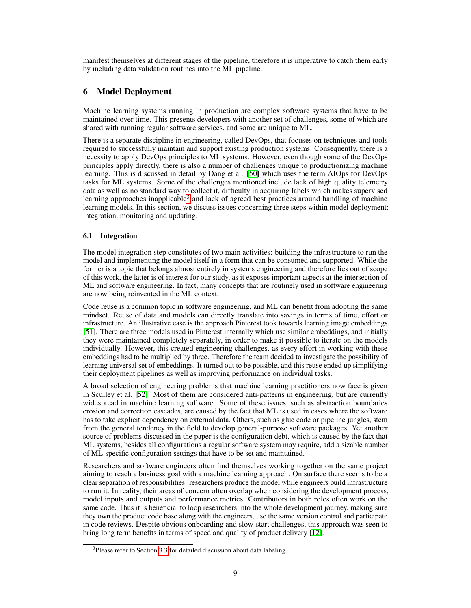manifest themselves at different stages of the pipeline, therefore it is imperative to catch them early by including data validation routines into the ML pipeline.

# 6 Model Deployment

Machine learning systems running in production are complex software systems that have to be maintained over time. This presents developers with another set of challenges, some of which are shared with running regular software services, and some are unique to ML.

There is a separate discipline in engineering, called DevOps, that focuses on techniques and tools required to successfully maintain and support existing production systems. Consequently, there is a necessity to apply DevOps principles to ML systems. However, even though some of the DevOps principles apply directly, there is also a number of challenges unique to productionizing machine learning. This is discussed in detail by Dang et al. [\[50\]](#page-17-14) which uses the term AIOps for DevOps tasks for ML systems. Some of the challenges mentioned include lack of high quality telemetry data as well as no standard way to collect it, difficulty in acquiring labels which makes supervised learning approaches inapplicable<sup>[3](#page-8-0)</sup> and lack of agreed best practices around handling of machine learning models. In this section, we discuss issues concerning three steps within model deployment: integration, monitoring and updating.

# 6.1 Integration

The model integration step constitutes of two main activities: building the infrastructure to run the model and implementing the model itself in a form that can be consumed and supported. While the former is a topic that belongs almost entirely in systems engineering and therefore lies out of scope of this work, the latter is of interest for our study, as it exposes important aspects at the intersection of ML and software engineering. In fact, many concepts that are routinely used in software engineering are now being reinvented in the ML context.

Code reuse is a common topic in software engineering, and ML can benefit from adopting the same mindset. Reuse of data and models can directly translate into savings in terms of time, effort or infrastructure. An illustrative case is the approach Pinterest took towards learning image embeddings [\[51\]](#page-17-15). There are three models used in Pinterest internally which use similar embeddings, and initially they were maintained completely separately, in order to make it possible to iterate on the models individually. However, this created engineering challenges, as every effort in working with these embeddings had to be multiplied by three. Therefore the team decided to investigate the possibility of learning universal set of embeddings. It turned out to be possible, and this reuse ended up simplifying their deployment pipelines as well as improving performance on individual tasks.

A broad selection of engineering problems that machine learning practitioners now face is given in Sculley et al. [\[52\]](#page-17-16). Most of them are considered anti-patterns in engineering, but are currently widespread in machine learning software. Some of these issues, such as abstraction boundaries erosion and correction cascades, are caused by the fact that ML is used in cases where the software has to take explicit dependency on external data. Others, such as glue code or pipeline jungles, stem from the general tendency in the field to develop general-purpose software packages. Yet another source of problems discussed in the paper is the configuration debt, which is caused by the fact that ML systems, besides all configurations a regular software system may require, add a sizable number of ML-specific configuration settings that have to be set and maintained.

Researchers and software engineers often find themselves working together on the same project aiming to reach a business goal with a machine learning approach. On surface there seems to be a clear separation of responsibilities: researchers produce the model while engineers build infrastructure to run it. In reality, their areas of concern often overlap when considering the development process, model inputs and outputs and performance metrics. Contributors in both roles often work on the same code. Thus it is beneficial to loop researchers into the whole development journey, making sure they own the product code base along with the engineers, use the same version control and participate in code reviews. Despite obvious onboarding and slow-start challenges, this approach was seen to bring long term benefits in terms of speed and quality of product delivery [\[12\]](#page-15-11).

<span id="page-8-0"></span><sup>&</sup>lt;sup>3</sup>Please refer to Section [3.3](#page-4-0) for detailed discussion about data labeling.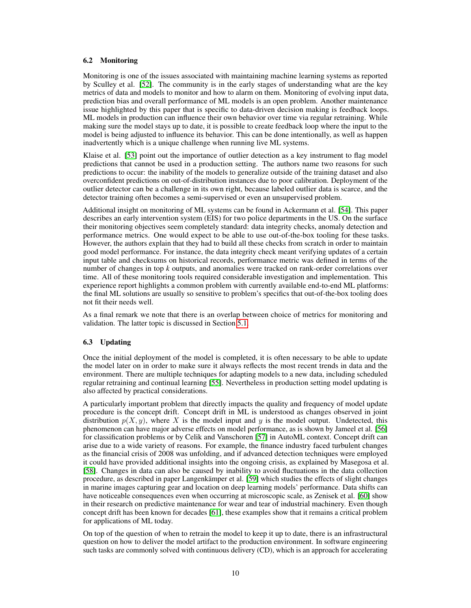### <span id="page-9-1"></span>6.2 Monitoring

Monitoring is one of the issues associated with maintaining machine learning systems as reported by Sculley et al. [\[52\]](#page-17-16). The community is in the early stages of understanding what are the key metrics of data and models to monitor and how to alarm on them. Monitoring of evolving input data, prediction bias and overall performance of ML models is an open problem. Another maintenance issue highlighted by this paper that is specific to data-driven decision making is feedback loops. ML models in production can influence their own behavior over time via regular retraining. While making sure the model stays up to date, it is possible to create feedback loop where the input to the model is being adjusted to influence its behavior. This can be done intentionally, as well as happen inadvertently which is a unique challenge when running live ML systems.

Klaise et al. [\[53\]](#page-17-17) point out the importance of outlier detection as a key instrument to flag model predictions that cannot be used in a production setting. The authors name two reasons for such predictions to occur: the inability of the models to generalize outside of the training dataset and also overconfident predictions on out-of-distribution instances due to poor calibration. Deployment of the outlier detector can be a challenge in its own right, because labeled outlier data is scarce, and the detector training often becomes a semi-supervised or even an unsupervised problem.

Additional insight on monitoring of ML systems can be found in Ackermann et al. [\[54\]](#page-17-18). This paper describes an early intervention system (EIS) for two police departments in the US. On the surface their monitoring objectives seem completely standard: data integrity checks, anomaly detection and performance metrics. One would expect to be able to use out-of-the-box tooling for these tasks. However, the authors explain that they had to build all these checks from scratch in order to maintain good model performance. For instance, the data integrity check meant verifying updates of a certain input table and checksums on historical records, performance metric was defined in terms of the number of changes in top *k* outputs, and anomalies were tracked on rank-order correlations over time. All of these monitoring tools required considerable investigation and implementation. This experience report highlights a common problem with currently available end-to-end ML platforms: the final ML solutions are usually so sensitive to problem's specifics that out-of-the-box tooling does not fit their needs well.

As a final remark we note that there is an overlap between choice of metrics for monitoring and validation. The latter topic is discussed in Section [5.1.](#page-7-0)

### <span id="page-9-0"></span>6.3 Updating

Once the initial deployment of the model is completed, it is often necessary to be able to update the model later on in order to make sure it always reflects the most recent trends in data and the environment. There are multiple techniques for adapting models to a new data, including scheduled regular retraining and continual learning [\[55\]](#page-17-19). Nevertheless in production setting model updating is also affected by practical considerations.

A particularly important problem that directly impacts the quality and frequency of model update procedure is the concept drift. Concept drift in ML is understood as changes observed in joint distribution  $p(X, y)$ , where X is the model input and y is the model output. Undetected, this phenomenon can have major adverse effects on model performance, as is shown by Jameel et al. [\[56\]](#page-18-0) for classification problems or by Celik and Vanschoren [\[57\]](#page-18-1) in AutoML context. Concept drift can arise due to a wide variety of reasons. For example, the finance industry faced turbulent changes as the financial crisis of 2008 was unfolding, and if advanced detection techniques were employed it could have provided additional insights into the ongoing crisis, as explained by Masegosa et al. [\[58\]](#page-18-2). Changes in data can also be caused by inability to avoid fluctuations in the data collection procedure, as described in paper Langenkämper et al. [\[59\]](#page-18-3) which studies the effects of slight changes in marine images capturing gear and location on deep learning models' performance. Data shifts can have noticeable consequences even when occurring at microscopic scale, as Zenisek et al. [\[60\]](#page-18-4) show in their research on predictive maintenance for wear and tear of industrial machinery. Even though concept drift has been known for decades [\[61\]](#page-18-5), these examples show that it remains a critical problem for applications of ML today.

On top of the question of when to retrain the model to keep it up to date, there is an infrastructural question on how to deliver the model artifact to the production environment. In software engineering such tasks are commonly solved with continuous delivery (CD), which is an approach for accelerating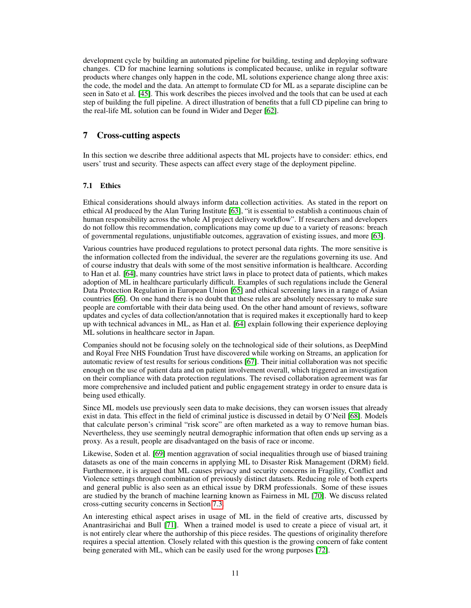development cycle by building an automated pipeline for building, testing and deploying software changes. CD for machine learning solutions is complicated because, unlike in regular software products where changes only happen in the code, ML solutions experience change along three axis: the code, the model and the data. An attempt to formulate CD for ML as a separate discipline can be seen in Sato et al. [\[45\]](#page-17-9). This work describes the pieces involved and the tools that can be used at each step of building the full pipeline. A direct illustration of benefits that a full CD pipeline can bring to the real-life ML solution can be found in Wider and Deger [\[62\]](#page-18-6).

### 7 Cross-cutting aspects

In this section we describe three additional aspects that ML projects have to consider: ethics, end users' trust and security. These aspects can affect every stage of the deployment pipeline.

### <span id="page-10-0"></span>7.1 Ethics

Ethical considerations should always inform data collection activities. As stated in the report on ethical AI produced by the Alan Turing Institute [\[63\]](#page-18-7), "it is essential to establish a continuous chain of human responsibility across the whole AI project delivery workflow". If researchers and developers do not follow this recommendation, complications may come up due to a variety of reasons: breach of governmental regulations, unjustifiable outcomes, aggravation of existing issues, and more [\[63\]](#page-18-7).

Various countries have produced regulations to protect personal data rights. The more sensitive is the information collected from the individual, the severer are the regulations governing its use. And of course industry that deals with some of the most sensitive information is healthcare. According to Han et al. [\[64\]](#page-18-8), many countries have strict laws in place to protect data of patients, which makes adoption of ML in healthcare particularly difficult. Examples of such regulations include the General Data Protection Regulation in European Union [\[65\]](#page-18-9) and ethical screening laws in a range of Asian countries [\[66\]](#page-18-10). On one hand there is no doubt that these rules are absolutely necessary to make sure people are comfortable with their data being used. On the other hand amount of reviews, software updates and cycles of data collection/annotation that is required makes it exceptionally hard to keep up with technical advances in ML, as Han et al. [\[64\]](#page-18-8) explain following their experience deploying ML solutions in healthcare sector in Japan.

Companies should not be focusing solely on the technological side of their solutions, as DeepMind and Royal Free NHS Foundation Trust have discovered while working on Streams, an application for automatic review of test results for serious conditions [\[67\]](#page-18-11). Their initial collaboration was not specific enough on the use of patient data and on patient involvement overall, which triggered an investigation on their compliance with data protection regulations. The revised collaboration agreement was far more comprehensive and included patient and public engagement strategy in order to ensure data is being used ethically.

Since ML models use previously seen data to make decisions, they can worsen issues that already exist in data. This effect in the field of criminal justice is discussed in detail by O'Neil [\[68\]](#page-18-12). Models that calculate person's criminal "risk score" are often marketed as a way to remove human bias. Nevertheless, they use seemingly neutral demographic information that often ends up serving as a proxy. As a result, people are disadvantaged on the basis of race or income.

Likewise, Soden et al. [\[69\]](#page-18-13) mention aggravation of social inequalities through use of biased training datasets as one of the main concerns in applying ML to Disaster Risk Management (DRM) field. Furthermore, it is argued that ML causes privacy and security concerns in Fragility, Conflict and Violence settings through combination of previously distinct datasets. Reducing role of both experts and general public is also seen as an ethical issue by DRM professionals. Some of these issues are studied by the branch of machine learning known as Fairness in ML [\[70\]](#page-18-14). We discuss related cross-cutting security concerns in Section [7.3.](#page-12-0)

An interesting ethical aspect arises in usage of ML in the field of creative arts, discussed by Anantrasirichai and Bull [\[71\]](#page-18-15). When a trained model is used to create a piece of visual art, it is not entirely clear where the authorship of this piece resides. The questions of originality therefore requires a special attention. Closely related with this question is the growing concern of fake content being generated with ML, which can be easily used for the wrong purposes [\[72\]](#page-18-16).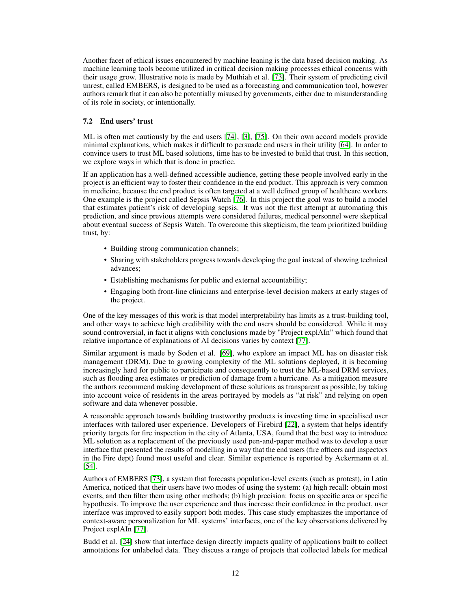Another facet of ethical issues encountered by machine leaning is the data based decision making. As machine learning tools become utilized in critical decision making processes ethical concerns with their usage grow. Illustrative note is made by Muthiah et al. [\[73\]](#page-18-17). Their system of predicting civil unrest, called EMBERS, is designed to be used as a forecasting and communication tool, however authors remark that it can also be potentially misused by governments, either due to misunderstanding of its role in society, or intentionally.

### 7.2 End users' trust

ML is often met cautiously by the end users [\[74\]](#page-18-18), [\[3\]](#page-15-2), [\[75\]](#page-19-0). On their own accord models provide minimal explanations, which makes it difficult to persuade end users in their utility [\[64\]](#page-18-8). In order to convince users to trust ML based solutions, time has to be invested to build that trust. In this section, we explore ways in which that is done in practice.

If an application has a well-defined accessible audience, getting these people involved early in the project is an efficient way to foster their confidence in the end product. This approach is very common in medicine, because the end product is often targeted at a well defined group of healthcare workers. One example is the project called Sepsis Watch [\[76\]](#page-19-1). In this project the goal was to build a model that estimates patient's risk of developing sepsis. It was not the first attempt at automating this prediction, and since previous attempts were considered failures, medical personnel were skeptical about eventual success of Sepsis Watch. To overcome this skepticism, the team prioritized building trust, by:

- Building strong communication channels;
- Sharing with stakeholders progress towards developing the goal instead of showing technical advances;
- Establishing mechanisms for public and external accountability;
- Engaging both front-line clinicians and enterprise-level decision makers at early stages of the project.

One of the key messages of this work is that model interpretability has limits as a trust-building tool, and other ways to achieve high credibility with the end users should be considered. While it may sound controversial, in fact it aligns with conclusions made by "Project explAIn" which found that relative importance of explanations of AI decisions varies by context [\[77\]](#page-19-2).

Similar argument is made by Soden et al. [\[69\]](#page-18-13), who explore an impact ML has on disaster risk management (DRM). Due to growing complexity of the ML solutions deployed, it is becoming increasingly hard for public to participate and consequently to trust the ML-based DRM services, such as flooding area estimates or prediction of damage from a hurricane. As a mitigation measure the authors recommend making development of these solutions as transparent as possible, by taking into account voice of residents in the areas portrayed by models as "at risk" and relying on open software and data whenever possible.

A reasonable approach towards building trustworthy products is investing time in specialised user interfaces with tailored user experience. Developers of Firebird [\[22\]](#page-16-6), a system that helps identify priority targets for fire inspection in the city of Atlanta, USA, found that the best way to introduce ML solution as a replacement of the previously used pen-and-paper method was to develop a user interface that presented the results of modelling in a way that the end users (fire officers and inspectors in the Fire dept) found most useful and clear. Similar experience is reported by Ackermann et al. [\[54\]](#page-17-18).

Authors of EMBERS [\[73\]](#page-18-17), a system that forecasts population-level events (such as protest), in Latin America, noticed that their users have two modes of using the system: (a) high recall: obtain most events, and then filter them using other methods; (b) high precision: focus on specific area or specific hypothesis. To improve the user experience and thus increase their confidence in the product, user interface was improved to easily support both modes. This case study emphasizes the importance of context-aware personalization for ML systems' interfaces, one of the key observations delivered by Project explAIn [\[77\]](#page-19-2).

Budd et al. [\[24\]](#page-16-8) show that interface design directly impacts quality of applications built to collect annotations for unlabeled data. They discuss a range of projects that collected labels for medical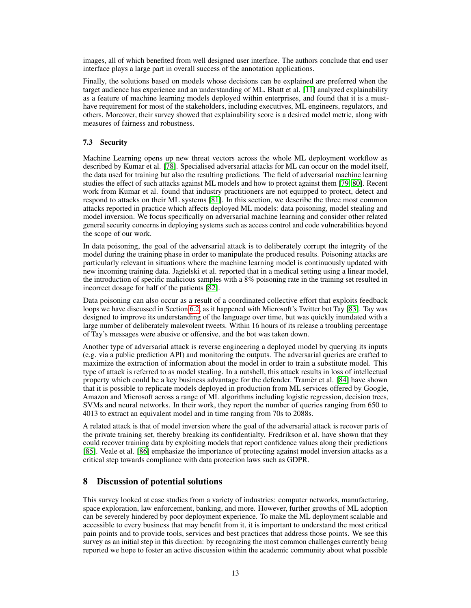images, all of which benefited from well designed user interface. The authors conclude that end user interface plays a large part in overall success of the annotation applications.

Finally, the solutions based on models whose decisions can be explained are preferred when the target audience has experience and an understanding of ML. Bhatt et al. [\[11\]](#page-15-10) analyzed explainability as a feature of machine learning models deployed within enterprises, and found that it is a musthave requirement for most of the stakeholders, including executives, ML engineers, regulators, and others. Moreover, their survey showed that explainability score is a desired model metric, along with measures of fairness and robustness.

### <span id="page-12-0"></span>7.3 Security

Machine Learning opens up new threat vectors across the whole ML deployment workflow as described by Kumar et al. [\[78\]](#page-19-3). Specialised adversarial attacks for ML can occur on the model itself, the data used for training but also the resulting predictions. The field of adversarial machine learning studies the effect of such attacks against ML models and how to protect against them [\[79,](#page-19-4) [80\]](#page-19-5). Recent work from Kumar et al. found that industry practitioners are not equipped to protect, detect and respond to attacks on their ML systems [\[81\]](#page-19-6). In this section, we describe the three most common attacks reported in practice which affects deployed ML models: data poisoning, model stealing and model inversion. We focus specifically on adversarial machine learning and consider other related general security concerns in deploying systems such as access control and code vulnerabilities beyond the scope of our work.

In data poisoning, the goal of the adversarial attack is to deliberately corrupt the integrity of the model during the training phase in order to manipulate the produced results. Poisoning attacks are particularly relevant in situations where the machine learning model is continuously updated with new incoming training data. Jagielski et al. reported that in a medical setting using a linear model, the introduction of specific malicious samples with a 8% poisoning rate in the training set resulted in incorrect dosage for half of the patients [\[82\]](#page-19-7).

Data poisoning can also occur as a result of a coordinated collective effort that exploits feedback loops we have discussed in Section [6.2,](#page-9-1) as it happened with Microsoft's Twitter bot Tay [\[83\]](#page-19-8). Tay was designed to improve its understanding of the language over time, but was quickly inundated with a large number of deliberately malevolent tweets. Within 16 hours of its release a troubling percentage of Tay's messages were abusive or offensive, and the bot was taken down.

Another type of adversarial attack is reverse engineering a deployed model by querying its inputs (e.g. via a public prediction API) and monitoring the outputs. The adversarial queries are crafted to maximize the extraction of information about the model in order to train a substitute model. This type of attack is referred to as model stealing. In a nutshell, this attack results in loss of intellectual property which could be a key business advantage for the defender. Tramèr et al. [\[84\]](#page-19-9) have shown that it is possible to replicate models deployed in production from ML services offered by Google, Amazon and Microsoft across a range of ML algorithms including logistic regression, decision trees, SVMs and neural networks. In their work, they report the number of queries ranging from 650 to 4013 to extract an equivalent model and in time ranging from 70s to 2088s.

A related attack is that of model inversion where the goal of the adversarial attack is recover parts of the private training set, thereby breaking its confidentialty. Fredrikson et al. have shown that they could recover training data by exploiting models that report confidence values along their predictions [\[85\]](#page-19-10). Veale et al. [\[86\]](#page-19-11) emphasize the importance of protecting against model inversion attacks as a critical step towards compliance with data protection laws such as GDPR.

# 8 Discussion of potential solutions

This survey looked at case studies from a variety of industries: computer networks, manufacturing, space exploration, law enforcement, banking, and more. However, further growths of ML adoption can be severely hindered by poor deployment experience. To make the ML deployment scalable and accessible to every business that may benefit from it, it is important to understand the most critical pain points and to provide tools, services and best practices that address those points. We see this survey as an initial step in this direction: by recognizing the most common challenges currently being reported we hope to foster an active discussion within the academic community about what possible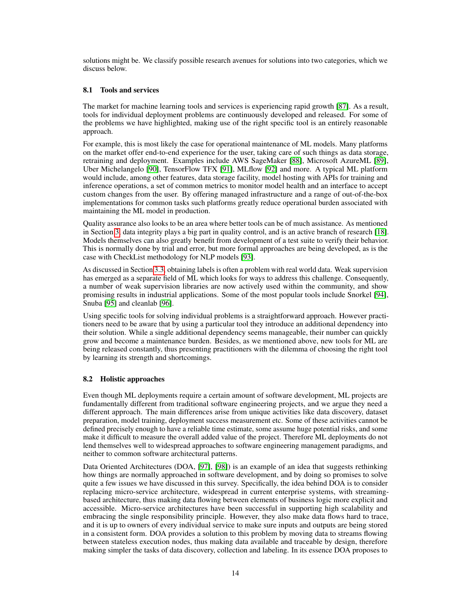solutions might be. We classify possible research avenues for solutions into two categories, which we discuss below.

### <span id="page-13-0"></span>8.1 Tools and services

The market for machine learning tools and services is experiencing rapid growth [\[87\]](#page-19-12). As a result, tools for individual deployment problems are continuously developed and released. For some of the problems we have highlighted, making use of the right specific tool is an entirely reasonable approach.

For example, this is most likely the case for operational maintenance of ML models. Many platforms on the market offer end-to-end experience for the user, taking care of such things as data storage, retraining and deployment. Examples include AWS SageMaker [\[88\]](#page-19-13), Microsoft AzureML [\[89\]](#page-19-14), Uber Michelangelo [\[90\]](#page-19-15), TensorFlow TFX [\[91\]](#page-19-16), MLflow [\[92\]](#page-19-17) and more. A typical ML platform would include, among other features, data storage facility, model hosting with APIs for training and inference operations, a set of common metrics to monitor model health and an interface to accept custom changes from the user. By offering managed infrastructure and a range of out-of-the-box implementations for common tasks such platforms greatly reduce operational burden associated with maintaining the ML model in production.

Quality assurance also looks to be an area where better tools can be of much assistance. As mentioned in Section [3,](#page-2-0) data integrity plays a big part in quality control, and is an active branch of research [\[18\]](#page-16-2). Models themselves can also greatly benefit from development of a test suite to verify their behavior. This is normally done by trial and error, but more formal approaches are being developed, as is the case with CheckList methodology for NLP models [\[93\]](#page-19-18).

As discussed in Section [3.3,](#page-4-0) obtaining labels is often a problem with real world data. Weak supervision has emerged as a separate field of ML which looks for ways to address this challenge. Consequently, a number of weak supervision libraries are now actively used within the community, and show promising results in industrial applications. Some of the most popular tools include Snorkel [\[94\]](#page-19-19), Snuba [\[95\]](#page-20-0) and cleanlab [\[96\]](#page-20-1).

Using specific tools for solving individual problems is a straightforward approach. However practitioners need to be aware that by using a particular tool they introduce an additional dependency into their solution. While a single additional dependency seems manageable, their number can quickly grow and become a maintenance burden. Besides, as we mentioned above, new tools for ML are being released constantly, thus presenting practitioners with the dilemma of choosing the right tool by learning its strength and shortcomings.

# 8.2 Holistic approaches

Even though ML deployments require a certain amount of software development, ML projects are fundamentally different from traditional software engineering projects, and we argue they need a different approach. The main differences arise from unique activities like data discovery, dataset preparation, model training, deployment success measurement etc. Some of these activities cannot be defined precisely enough to have a reliable time estimate, some assume huge potential risks, and some make it difficult to measure the overall added value of the project. Therefore ML deployments do not lend themselves well to widespread approaches to software engineering management paradigms, and neither to common software architectural patterns.

Data Oriented Architectures (DOA, [\[97\]](#page-20-2), [\[98\]](#page-20-3)) is an example of an idea that suggests rethinking how things are normally approached in software development, and by doing so promises to solve quite a few issues we have discussed in this survey. Specifically, the idea behind DOA is to consider replacing micro-service architecture, widespread in current enterprise systems, with streamingbased architecture, thus making data flowing between elements of business logic more explicit and accessible. Micro-service architectures have been successful in supporting high scalability and embracing the single responsibility principle. However, they also make data flows hard to trace, and it is up to owners of every individual service to make sure inputs and outputs are being stored in a consistent form. DOA provides a solution to this problem by moving data to streams flowing between stateless execution nodes, thus making data available and traceable by design, therefore making simpler the tasks of data discovery, collection and labeling. In its essence DOA proposes to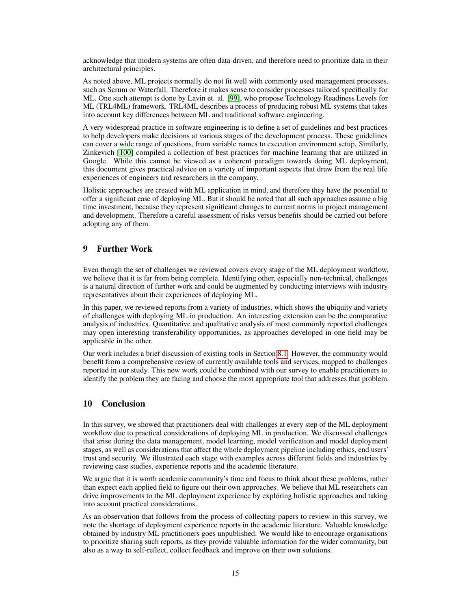acknowledge that modern systems are often data-driven, and therefore need to prioritize data in their architectural principles.

As noted above, ML projects normally do not fit well with commonly used management processes, such as Scrum or Waterfall. Therefore it makes sense to consider processes tailored specifically for ML. One such attempt is done by Lavin et. al. [\[99\]](#page-20-4), who propose Technology Readiness Levels for ML (TRL4ML) framework. TRL4ML describes a process of producing robust ML systems that takes into account key differences between ML and traditional software engineering.

A very widespread practice in software engineering is to define a set of guidelines and best practices to help developers make decisions at various stages of the development process. These guidelines can cover a wide range of questions, from variable names to execution environment setup. Similarly, Zinkevich [\[100\]](#page-20-5) compiled a collection of best practices for machine learning that are utilized in Google. While this cannot be viewed as a coherent paradigm towards doing ML deployment, this document gives practical advice on a variety of important aspects that draw from the real life experiences of engineers and researchers in the company.

Holistic approaches are created with ML application in mind, and therefore they have the potential to offer a significant ease of deploying ML. But it should be noted that all such approaches assume a big time investment, because they represent significant changes to current norms in project management and development. Therefore a careful assessment of risks versus benefits should be carried out before adopting any of them.

# 9 Further Work

Even though the set of challenges we reviewed covers every stage of the ML deployment workflow, we believe that it is far from being complete. Identifying other, especially non-technical, challenges is a natural direction of further work and could be augmented by conducting interviews with industry representatives about their experiences of deploying ML.

In this paper, we reviewed reports from a variety of industries, which shows the ubiquity and variety of challenges with deploying ML in production. An interesting extension can be the comparative analysis of industries. Quantitative and qualitative analysis of most commonly reported challenges may open interesting transferability opportunities, as approaches developed in one field may be applicable in the other.

Our work includes a brief discussion of existing tools in Section [8.1.](#page-13-0) However, the community would benefit from a comprehensive review of currently available tools and services, mapped to challenges reported in our study. This new work could be combined with our survey to enable practitioners to identify the problem they are facing and choose the most appropriate tool that addresses that problem.

# 10 Conclusion

In this survey, we showed that practitioners deal with challenges at every step of the ML deployment workflow due to practical considerations of deploying ML in production. We discussed challenges that arise during the data management, model learning, model verification and model deployment stages, as well as considerations that affect the whole deployment pipeline including ethics, end users' trust and security. We illustrated each stage with examples across different fields and industries by reviewing case studies, experience reports and the academic literature.

We argue that it is worth academic community's time and focus to think about these problems, rather than expect each applied field to figure out their own approaches. We believe that ML researchers can drive improvements to the ML deployment experience by exploring holistic approaches and taking into account practical considerations.

As an observation that follows from the process of collecting papers to review in this survey, we note the shortage of deployment experience reports in the academic literature. Valuable knowledge obtained by industry ML practitioners goes unpublished. We would like to encourage organisations to prioritize sharing such reports, as they provide valuable information for the wider community, but also as a way to self-reflect, collect feedback and improve on their own solutions.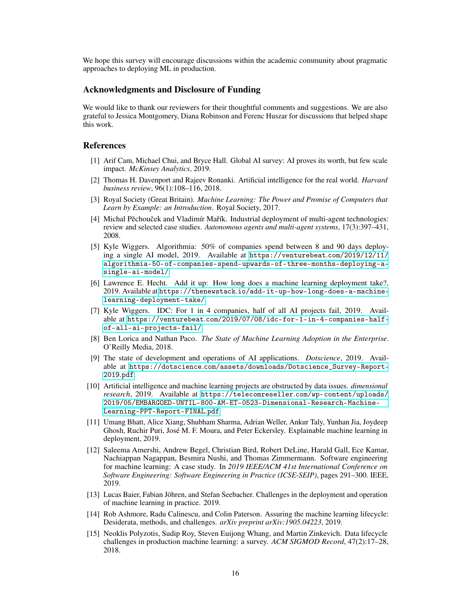We hope this survey will encourage discussions within the academic community about pragmatic approaches to deploying ML in production.

### Acknowledgments and Disclosure of Funding

We would like to thank our reviewers for their thoughtful comments and suggestions. We are also grateful to Jessica Montgomery, Diana Robinson and Ferenc Huszar for discussions that helped shape this work.

### References

- <span id="page-15-0"></span>[1] Arif Cam, Michael Chui, and Bryce Hall. Global AI survey: AI proves its worth, but few scale impact. *McKinsey Analytics*, 2019.
- <span id="page-15-1"></span>[2] Thomas H. Davenport and Rajeev Ronanki. Artificial intelligence for the real world. *Harvard business review*, 96(1):108–116, 2018.
- <span id="page-15-2"></span>[3] Royal Society (Great Britain). *Machine Learning: The Power and Promise of Computers that Learn by Example: an Introduction*. Royal Society, 2017.
- <span id="page-15-3"></span>[4] Michal Pěchouček and Vladimír Mařík. Industrial deployment of multi-agent technologies: review and selected case studies. *Autonomous agents and multi-agent systems*, 17(3):397–431, 2008.
- <span id="page-15-4"></span>[5] Kyle Wiggers. Algorithmia: 50% of companies spend between 8 and 90 days deploying a single AI model, 2019. Available at [https://venturebeat](https://venturebeat.com/2019/12/11/algorithmia-50-of-companies-spend-upwards-of-three-months-deploying-a-single-ai-model/).com/2019/12/11/ [algorithmia-50-of-companies-spend-upwards-of-three-months-deploying-a](https://venturebeat.com/2019/12/11/algorithmia-50-of-companies-spend-upwards-of-three-months-deploying-a-single-ai-model/)[single-ai-model/](https://venturebeat.com/2019/12/11/algorithmia-50-of-companies-spend-upwards-of-three-months-deploying-a-single-ai-model/).
- <span id="page-15-5"></span>[6] Lawrence E. Hecht. Add it up: How long does a machine learning deployment take?, 2019. Available at https://thenewstack.[io/add-it-up-how-long-does-a-machine](https://thenewstack.io/add-it-up-how-long-does-a-machine-learning-deployment-take/)[learning-deployment-take/](https://thenewstack.io/add-it-up-how-long-does-a-machine-learning-deployment-take/).
- <span id="page-15-6"></span>[7] Kyle Wiggers. IDC: For 1 in 4 companies, half of all AI projects fail, 2019. Available at https://venturebeat.[com/2019/07/08/idc-for-1-in-4-companies-half](https://venturebeat.com/2019/07/08/idc-for-1-in-4-companies-half-of-all-ai-projects-fail/)[of-all-ai-projects-fail/](https://venturebeat.com/2019/07/08/idc-for-1-in-4-companies-half-of-all-ai-projects-fail/).
- <span id="page-15-7"></span>[8] Ben Lorica and Nathan Paco. *The State of Machine Learning Adoption in the Enterprise*. O'Reilly Media, 2018.
- <span id="page-15-8"></span>[9] The state of development and operations of AI applications. *Dotscience*, 2019. Available at https://dotscience.[com/assets/downloads/Dotscience\\_Survey-Report-](https://dotscience.com/assets/downloads/Dotscience_Survey-Report-2019.pdf)[2019](https://dotscience.com/assets/downloads/Dotscience_Survey-Report-2019.pdf).pdf.
- <span id="page-15-9"></span>[10] Artificial intelligence and machine learning projects are obstructed by data issues. *dimensional research*, 2019. Available at https://telecomreseller.[com/wp-content/uploads/](https://telecomreseller.com/wp-content/uploads/2019/05/EMBARGOED-UNTIL-800-AM-ET-0523-Dimensional-Research-Machine-Learning-PPT-Report-FINAL.pdf) [2019/05/EMBARGOED-UNTIL-800-AM-ET-0523-Dimensional-Research-Machine-](https://telecomreseller.com/wp-content/uploads/2019/05/EMBARGOED-UNTIL-800-AM-ET-0523-Dimensional-Research-Machine-Learning-PPT-Report-FINAL.pdf)[Learning-PPT-Report-FINAL](https://telecomreseller.com/wp-content/uploads/2019/05/EMBARGOED-UNTIL-800-AM-ET-0523-Dimensional-Research-Machine-Learning-PPT-Report-FINAL.pdf).pdf.
- <span id="page-15-10"></span>[11] Umang Bhatt, Alice Xiang, Shubham Sharma, Adrian Weller, Ankur Taly, Yunhan Jia, Joydeep Ghosh, Ruchir Puri, José M. F. Moura, and Peter Eckersley. Explainable machine learning in deployment, 2019.
- <span id="page-15-11"></span>[12] Saleema Amershi, Andrew Begel, Christian Bird, Robert DeLine, Harald Gall, Ece Kamar, Nachiappan Nagappan, Besmira Nushi, and Thomas Zimmermann. Software engineering for machine learning: A case study. In *2019 IEEE/ACM 41st International Conference on Software Engineering: Software Engineering in Practice (ICSE-SEIP)*, pages 291–300. IEEE, 2019.
- <span id="page-15-12"></span>[13] Lucas Baier, Fabian Jöhren, and Stefan Seebacher. Challenges in the deployment and operation of machine learning in practice. 2019.
- <span id="page-15-13"></span>[14] Rob Ashmore, Radu Calinescu, and Colin Paterson. Assuring the machine learning lifecycle: Desiderata, methods, and challenges. *arXiv preprint arXiv:1905.04223*, 2019.
- <span id="page-15-14"></span>[15] Neoklis Polyzotis, Sudip Roy, Steven Euijong Whang, and Martin Zinkevich. Data lifecycle challenges in production machine learning: a survey. *ACM SIGMOD Record*, 47(2):17–28, 2018.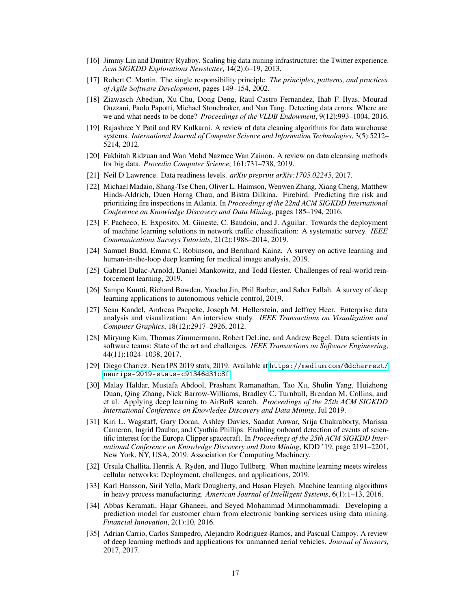- <span id="page-16-0"></span>[16] Jimmy Lin and Dmitriy Ryaboy. Scaling big data mining infrastructure: the Twitter experience. *Acm SIGKDD Explorations Newsletter*, 14(2):6–19, 2013.
- <span id="page-16-1"></span>[17] Robert C. Martin. The single responsibility principle. *The principles, patterns, and practices of Agile Software Development*, pages 149–154, 2002.
- <span id="page-16-2"></span>[18] Ziawasch Abedjan, Xu Chu, Dong Deng, Raul Castro Fernandez, Ihab F. Ilyas, Mourad Ouzzani, Paolo Papotti, Michael Stonebraker, and Nan Tang. Detecting data errors: Where are we and what needs to be done? *Proceedings of the VLDB Endowment*, 9(12):993–1004, 2016.
- <span id="page-16-3"></span>[19] Rajashree Y Patil and RV Kulkarni. A review of data cleaning algorithms for data warehouse systems. *International Journal of Computer Science and Information Technologies*, 3(5):5212– 5214, 2012.
- <span id="page-16-4"></span>[20] Fakhitah Ridzuan and Wan Mohd Nazmee Wan Zainon. A review on data cleansing methods for big data. *Procedia Computer Science*, 161:731–738, 2019.
- <span id="page-16-5"></span>[21] Neil D Lawrence. Data readiness levels. *arXiv preprint arXiv:1705.02245*, 2017.
- <span id="page-16-6"></span>[22] Michael Madaio, Shang-Tse Chen, Oliver L. Haimson, Wenwen Zhang, Xiang Cheng, Matthew Hinds-Aldrich, Duen Horng Chau, and Bistra Dilkina. Firebird: Predicting fire risk and prioritizing fire inspections in Atlanta. In *Proceedings of the 22nd ACM SIGKDD International Conference on Knowledge Discovery and Data Mining*, pages 185–194, 2016.
- <span id="page-16-7"></span>[23] F. Pacheco, E. Exposito, M. Gineste, C. Baudoin, and J. Aguilar. Towards the deployment of machine learning solutions in network traffic classification: A systematic survey. *IEEE Communications Surveys Tutorials*, 21(2):1988–2014, 2019.
- <span id="page-16-8"></span>[24] Samuel Budd, Emma C. Robinson, and Bernhard Kainz. A survey on active learning and human-in-the-loop deep learning for medical image analysis, 2019.
- <span id="page-16-9"></span>[25] Gabriel Dulac-Arnold, Daniel Mankowitz, and Todd Hester. Challenges of real-world reinforcement learning, 2019.
- <span id="page-16-10"></span>[26] Sampo Kuutti, Richard Bowden, Yaochu Jin, Phil Barber, and Saber Fallah. A survey of deep learning applications to autonomous vehicle control, 2019.
- <span id="page-16-11"></span>[27] Sean Kandel, Andreas Paepcke, Joseph M. Hellerstein, and Jeffrey Heer. Enterprise data analysis and visualization: An interview study. *IEEE Transactions on Visualization and Computer Graphics*, 18(12):2917–2926, 2012.
- <span id="page-16-12"></span>[28] Miryung Kim, Thomas Zimmermann, Robert DeLine, and Andrew Begel. Data scientists in software teams: State of the art and challenges. *IEEE Transactions on Software Engineering*, 44(11):1024–1038, 2017.
- <span id="page-16-13"></span>[29] Diego Charrez. NeurIPS 2019 stats, 2019. Available at https://medium.[com/@dcharrezt/](https://medium.com/@dcharrezt/neurips-2019-stats-c91346d31c8f) [neurips-2019-stats-c91346d31c8f](https://medium.com/@dcharrezt/neurips-2019-stats-c91346d31c8f).
- <span id="page-16-14"></span>[30] Malay Haldar, Mustafa Abdool, Prashant Ramanathan, Tao Xu, Shulin Yang, Huizhong Duan, Qing Zhang, Nick Barrow-Williams, Bradley C. Turnbull, Brendan M. Collins, and et al. Applying deep learning to AirBnB search. *Proceedings of the 25th ACM SIGKDD International Conference on Knowledge Discovery and Data Mining*, Jul 2019.
- <span id="page-16-15"></span>[31] Kiri L. Wagstaff, Gary Doran, Ashley Davies, Saadat Anwar, Srija Chakraborty, Marissa Cameron, Ingrid Daubar, and Cynthia Phillips. Enabling onboard detection of events of scientific interest for the Europa Clipper spacecraft. In *Proceedings of the 25th ACM SIGKDD International Conference on Knowledge Discovery and Data Mining*, KDD '19, page 2191–2201, New York, NY, USA, 2019. Association for Computing Machinery.
- <span id="page-16-16"></span>[32] Ursula Challita, Henrik A. Ryden, and Hugo Tullberg. When machine learning meets wireless cellular networks: Deployment, challenges, and applications, 2019.
- <span id="page-16-17"></span>[33] Karl Hansson, Siril Yella, Mark Dougherty, and Hasan Fleyeh. Machine learning algorithms in heavy process manufacturing. *American Journal of Intelligent Systems*, 6(1):1–13, 2016.
- <span id="page-16-18"></span>[34] Abbas Keramati, Hajar Ghaneei, and Seyed Mohammad Mirmohammadi. Developing a prediction model for customer churn from electronic banking services using data mining. *Financial Innovation*, 2(1):10, 2016.
- <span id="page-16-19"></span>[35] Adrian Carrio, Carlos Sampedro, Alejandro Rodriguez-Ramos, and Pascual Campoy. A review of deep learning methods and applications for unmanned aerial vehicles. *Journal of Sensors*, 2017, 2017.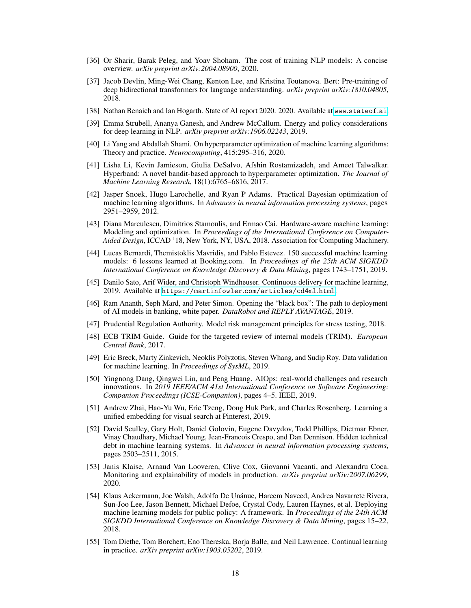- <span id="page-17-0"></span>[36] Or Sharir, Barak Peleg, and Yoav Shoham. The cost of training NLP models: A concise overview. *arXiv preprint arXiv:2004.08900*, 2020.
- <span id="page-17-1"></span>[37] Jacob Devlin, Ming-Wei Chang, Kenton Lee, and Kristina Toutanova. Bert: Pre-training of deep bidirectional transformers for language understanding. *arXiv preprint arXiv:1810.04805*, 2018.
- <span id="page-17-2"></span>[38] Nathan Benaich and Ian Hogarth. State of AI report 2020. 2020. Available at www.[stateof](www.stateof.ai).ai.
- <span id="page-17-3"></span>[39] Emma Strubell, Ananya Ganesh, and Andrew McCallum. Energy and policy considerations for deep learning in NLP. *arXiv preprint arXiv:1906.02243*, 2019.
- <span id="page-17-4"></span>[40] Li Yang and Abdallah Shami. On hyperparameter optimization of machine learning algorithms: Theory and practice. *Neurocomputing*, 415:295–316, 2020.
- <span id="page-17-5"></span>[41] Lisha Li, Kevin Jamieson, Giulia DeSalvo, Afshin Rostamizadeh, and Ameet Talwalkar. Hyperband: A novel bandit-based approach to hyperparameter optimization. *The Journal of Machine Learning Research*, 18(1):6765–6816, 2017.
- <span id="page-17-6"></span>[42] Jasper Snoek, Hugo Larochelle, and Ryan P Adams. Practical Bayesian optimization of machine learning algorithms. In *Advances in neural information processing systems*, pages 2951–2959, 2012.
- <span id="page-17-7"></span>[43] Diana Marculescu, Dimitrios Stamoulis, and Ermao Cai. Hardware-aware machine learning: Modeling and optimization. In *Proceedings of the International Conference on Computer-Aided Design*, ICCAD '18, New York, NY, USA, 2018. Association for Computing Machinery.
- <span id="page-17-8"></span>[44] Lucas Bernardi, Themistoklis Mavridis, and Pablo Estevez. 150 successful machine learning models: 6 lessons learned at Booking.com. In *Proceedings of the 25th ACM SIGKDD International Conference on Knowledge Discovery & Data Mining*, pages 1743–1751, 2019.
- <span id="page-17-9"></span>[45] Danilo Sato, Arif Wider, and Christoph Windheuser. Continuous delivery for machine learning, 2019. Available at [https://martinfowler](https://martinfowler.com/articles/cd4ml.html).com/articles/cd4ml.html.
- <span id="page-17-10"></span>[46] Ram Ananth, Seph Mard, and Peter Simon. Opening the "black box": The path to deployment of AI models in banking, white paper. *DataRobot and REPLY AVANTAGE*, 2019.
- <span id="page-17-11"></span>[47] Prudential Regulation Authority. Model risk management principles for stress testing, 2018.
- <span id="page-17-12"></span>[48] ECB TRIM Guide. Guide for the targeted review of internal models (TRIM). *European Central Bank*, 2017.
- <span id="page-17-13"></span>[49] Eric Breck, Marty Zinkevich, Neoklis Polyzotis, Steven Whang, and Sudip Roy. Data validation for machine learning. In *Proceedings of SysML*, 2019.
- <span id="page-17-14"></span>[50] Yingnong Dang, Qingwei Lin, and Peng Huang. AIOps: real-world challenges and research innovations. In *2019 IEEE/ACM 41st International Conference on Software Engineering: Companion Proceedings (ICSE-Companion)*, pages 4–5. IEEE, 2019.
- <span id="page-17-15"></span>[51] Andrew Zhai, Hao-Yu Wu, Eric Tzeng, Dong Huk Park, and Charles Rosenberg. Learning a unified embedding for visual search at Pinterest, 2019.
- <span id="page-17-16"></span>[52] David Sculley, Gary Holt, Daniel Golovin, Eugene Davydov, Todd Phillips, Dietmar Ebner, Vinay Chaudhary, Michael Young, Jean-Francois Crespo, and Dan Dennison. Hidden technical debt in machine learning systems. In *Advances in neural information processing systems*, pages 2503–2511, 2015.
- <span id="page-17-17"></span>[53] Janis Klaise, Arnaud Van Looveren, Clive Cox, Giovanni Vacanti, and Alexandru Coca. Monitoring and explainability of models in production. *arXiv preprint arXiv:2007.06299*, 2020.
- <span id="page-17-18"></span>[54] Klaus Ackermann, Joe Walsh, Adolfo De Unánue, Hareem Naveed, Andrea Navarrete Rivera, Sun-Joo Lee, Jason Bennett, Michael Defoe, Crystal Cody, Lauren Haynes, et al. Deploying machine learning models for public policy: A framework. In *Proceedings of the 24th ACM SIGKDD International Conference on Knowledge Discovery & Data Mining*, pages 15–22, 2018.
- <span id="page-17-19"></span>[55] Tom Diethe, Tom Borchert, Eno Thereska, Borja Balle, and Neil Lawrence. Continual learning in practice. *arXiv preprint arXiv:1903.05202*, 2019.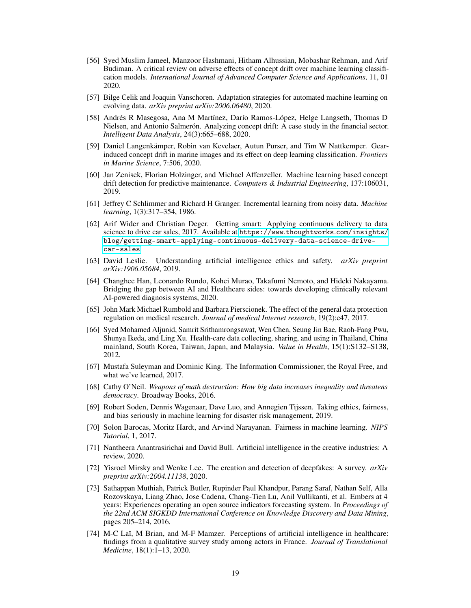- <span id="page-18-0"></span>[56] Syed Muslim Jameel, Manzoor Hashmani, Hitham Alhussian, Mobashar Rehman, and Arif Budiman. A critical review on adverse effects of concept drift over machine learning classification models. *International Journal of Advanced Computer Science and Applications*, 11, 01 2020.
- <span id="page-18-1"></span>[57] Bilge Celik and Joaquin Vanschoren. Adaptation strategies for automated machine learning on evolving data. *arXiv preprint arXiv:2006.06480*, 2020.
- <span id="page-18-2"></span>[58] Andrés R Masegosa, Ana M Martínez, Darío Ramos-López, Helge Langseth, Thomas D Nielsen, and Antonio Salmerón. Analyzing concept drift: A case study in the financial sector. *Intelligent Data Analysis*, 24(3):665–688, 2020.
- <span id="page-18-3"></span>[59] Daniel Langenkämper, Robin van Kevelaer, Autun Purser, and Tim W Nattkemper. Gearinduced concept drift in marine images and its effect on deep learning classification. *Frontiers in Marine Science*, 7:506, 2020.
- <span id="page-18-4"></span>[60] Jan Zenisek, Florian Holzinger, and Michael Affenzeller. Machine learning based concept drift detection for predictive maintenance. *Computers & Industrial Engineering*, 137:106031, 2019.
- <span id="page-18-5"></span>[61] Jeffrey C Schlimmer and Richard H Granger. Incremental learning from noisy data. *Machine learning*, 1(3):317–354, 1986.
- <span id="page-18-6"></span>[62] Arif Wider and Christian Deger. Getting smart: Applying continuous delivery to data science to drive car sales, 2017. Available at https://www.thoughtworks.[com/insights/](https://www.thoughtworks.com/insights/blog/getting-smart-applying-continuous-delivery-data-science-drive-car-sales) [blog/getting-smart-applying-continuous-delivery-data-science-drive](https://www.thoughtworks.com/insights/blog/getting-smart-applying-continuous-delivery-data-science-drive-car-sales)[car-sales](https://www.thoughtworks.com/insights/blog/getting-smart-applying-continuous-delivery-data-science-drive-car-sales).
- <span id="page-18-7"></span>[63] David Leslie. Understanding artificial intelligence ethics and safety. *arXiv preprint arXiv:1906.05684*, 2019.
- <span id="page-18-8"></span>[64] Changhee Han, Leonardo Rundo, Kohei Murao, Takafumi Nemoto, and Hideki Nakayama. Bridging the gap between AI and Healthcare sides: towards developing clinically relevant AI-powered diagnosis systems, 2020.
- <span id="page-18-9"></span>[65] John Mark Michael Rumbold and Barbara Pierscionek. The effect of the general data protection regulation on medical research. *Journal of medical Internet research*, 19(2):e47, 2017.
- <span id="page-18-10"></span>[66] Syed Mohamed Aljunid, Samrit Srithamrongsawat, Wen Chen, Seung Jin Bae, Raoh-Fang Pwu, Shunya Ikeda, and Ling Xu. Health-care data collecting, sharing, and using in Thailand, China mainland, South Korea, Taiwan, Japan, and Malaysia. *Value in Health*, 15(1):S132–S138, 2012.
- <span id="page-18-11"></span>[67] Mustafa Suleyman and Dominic King. The Information Commissioner, the Royal Free, and what we've learned, 2017.
- <span id="page-18-12"></span>[68] Cathy O'Neil. *Weapons of math destruction: How big data increases inequality and threatens democracy*. Broadway Books, 2016.
- <span id="page-18-13"></span>[69] Robert Soden, Dennis Wagenaar, Dave Luo, and Annegien Tijssen. Taking ethics, fairness, and bias seriously in machine learning for disaster risk management, 2019.
- <span id="page-18-14"></span>[70] Solon Barocas, Moritz Hardt, and Arvind Narayanan. Fairness in machine learning. *NIPS Tutorial*, 1, 2017.
- <span id="page-18-15"></span>[71] Nantheera Anantrasirichai and David Bull. Artificial intelligence in the creative industries: A review, 2020.
- <span id="page-18-16"></span>[72] Yisroel Mirsky and Wenke Lee. The creation and detection of deepfakes: A survey. *arXiv preprint arXiv:2004.11138*, 2020.
- <span id="page-18-17"></span>[73] Sathappan Muthiah, Patrick Butler, Rupinder Paul Khandpur, Parang Saraf, Nathan Self, Alla Rozovskaya, Liang Zhao, Jose Cadena, Chang-Tien Lu, Anil Vullikanti, et al. Embers at 4 years: Experiences operating an open source indicators forecasting system. In *Proceedings of the 22nd ACM SIGKDD International Conference on Knowledge Discovery and Data Mining*, pages 205–214, 2016.
- <span id="page-18-18"></span>[74] M-C Laï, M Brian, and M-F Mamzer. Perceptions of artificial intelligence in healthcare: findings from a qualitative survey study among actors in France. *Journal of Translational Medicine*, 18(1):1–13, 2020.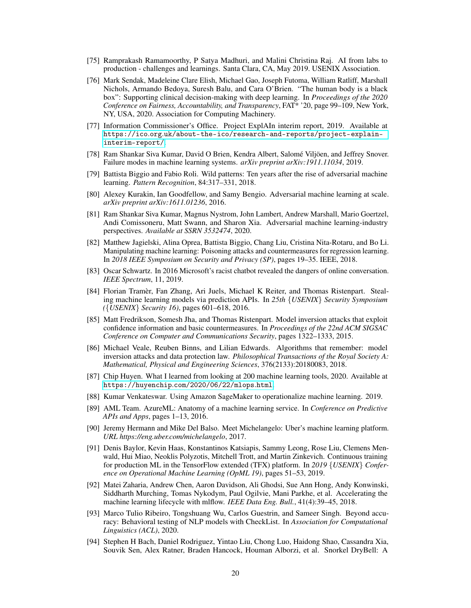- <span id="page-19-0"></span>[75] Ramprakash Ramamoorthy, P Satya Madhuri, and Malini Christina Raj. AI from labs to production - challenges and learnings. Santa Clara, CA, May 2019. USENIX Association.
- <span id="page-19-1"></span>[76] Mark Sendak, Madeleine Clare Elish, Michael Gao, Joseph Futoma, William Ratliff, Marshall Nichols, Armando Bedoya, Suresh Balu, and Cara O'Brien. "The human body is a black box": Supporting clinical decision-making with deep learning. In *Proceedings of the 2020 Conference on Fairness, Accountability, and Transparency*, FAT\* '20, page 99–109, New York, NY, USA, 2020. Association for Computing Machinery.
- <span id="page-19-2"></span>[77] Information Commissioner's Office. Project ExplAIn interim report, 2019. Available at https://ico.org.[uk/about-the-ico/research-and-reports/project-explain](https://ico.org.uk/about-the-ico/research-and-reports/project-explain-interim-report/)[interim-report/](https://ico.org.uk/about-the-ico/research-and-reports/project-explain-interim-report/).
- <span id="page-19-3"></span>[78] Ram Shankar Siva Kumar, David O Brien, Kendra Albert, Salomé Viljöen, and Jeffrey Snover. Failure modes in machine learning systems. *arXiv preprint arXiv:1911.11034*, 2019.
- <span id="page-19-4"></span>[79] Battista Biggio and Fabio Roli. Wild patterns: Ten years after the rise of adversarial machine learning. *Pattern Recognition*, 84:317–331, 2018.
- <span id="page-19-5"></span>[80] Alexey Kurakin, Ian Goodfellow, and Samy Bengio. Adversarial machine learning at scale. *arXiv preprint arXiv:1611.01236*, 2016.
- <span id="page-19-6"></span>[81] Ram Shankar Siva Kumar, Magnus Nystrom, John Lambert, Andrew Marshall, Mario Goertzel, Andi Comissoneru, Matt Swann, and Sharon Xia. Adversarial machine learning-industry perspectives. *Available at SSRN 3532474*, 2020.
- <span id="page-19-7"></span>[82] Matthew Jagielski, Alina Oprea, Battista Biggio, Chang Liu, Cristina Nita-Rotaru, and Bo Li. Manipulating machine learning: Poisoning attacks and countermeasures for regression learning. In *2018 IEEE Symposium on Security and Privacy (SP)*, pages 19–35. IEEE, 2018.
- <span id="page-19-8"></span>[83] Oscar Schwartz. In 2016 Microsoft's racist chatbot revealed the dangers of online conversation. *IEEE Spectrum*, 11, 2019.
- <span id="page-19-9"></span>[84] Florian Tramèr, Fan Zhang, Ari Juels, Michael K Reiter, and Thomas Ristenpart. Stealing machine learning models via prediction APIs. In *25th* {*USENIX*} *Security Symposium (*{*USENIX*} *Security 16)*, pages 601–618, 2016.
- <span id="page-19-10"></span>[85] Matt Fredrikson, Somesh Jha, and Thomas Ristenpart. Model inversion attacks that exploit confidence information and basic countermeasures. In *Proceedings of the 22nd ACM SIGSAC Conference on Computer and Communications Security*, pages 1322–1333, 2015.
- <span id="page-19-11"></span>[86] Michael Veale, Reuben Binns, and Lilian Edwards. Algorithms that remember: model inversion attacks and data protection law. *Philosophical Transactions of the Royal Society A: Mathematical, Physical and Engineering Sciences*, 376(2133):20180083, 2018.
- <span id="page-19-12"></span>[87] Chip Huyen. What I learned from looking at 200 machine learning tools, 2020. Available at https://huyenchip.[com/2020/06/22/mlops](https://huyenchip.com/2020/06/22/mlops.html).html.
- <span id="page-19-13"></span>[88] Kumar Venkateswar. Using Amazon SageMaker to operationalize machine learning. 2019.
- <span id="page-19-14"></span>[89] AML Team. AzureML: Anatomy of a machine learning service. In *Conference on Predictive APIs and Apps*, pages 1–13, 2016.
- <span id="page-19-15"></span>[90] Jeremy Hermann and Mike Del Balso. Meet Michelangelo: Uber's machine learning platform. *URL https://eng.uber.com/michelangelo*, 2017.
- <span id="page-19-16"></span>[91] Denis Baylor, Kevin Haas, Konstantinos Katsiapis, Sammy Leong, Rose Liu, Clemens Menwald, Hui Miao, Neoklis Polyzotis, Mitchell Trott, and Martin Zinkevich. Continuous training for production ML in the TensorFlow extended (TFX) platform. In *2019* {*USENIX*} *Conference on Operational Machine Learning (OpML 19)*, pages 51–53, 2019.
- <span id="page-19-17"></span>[92] Matei Zaharia, Andrew Chen, Aaron Davidson, Ali Ghodsi, Sue Ann Hong, Andy Konwinski, Siddharth Murching, Tomas Nykodym, Paul Ogilvie, Mani Parkhe, et al. Accelerating the machine learning lifecycle with mlflow. *IEEE Data Eng. Bull.*, 41(4):39–45, 2018.
- <span id="page-19-18"></span>[93] Marco Tulio Ribeiro, Tongshuang Wu, Carlos Guestrin, and Sameer Singh. Beyond accuracy: Behavioral testing of NLP models with CheckList. In *Association for Computational Linguistics (ACL)*, 2020.
- <span id="page-19-19"></span>[94] Stephen H Bach, Daniel Rodriguez, Yintao Liu, Chong Luo, Haidong Shao, Cassandra Xia, Souvik Sen, Alex Ratner, Braden Hancock, Houman Alborzi, et al. Snorkel DryBell: A